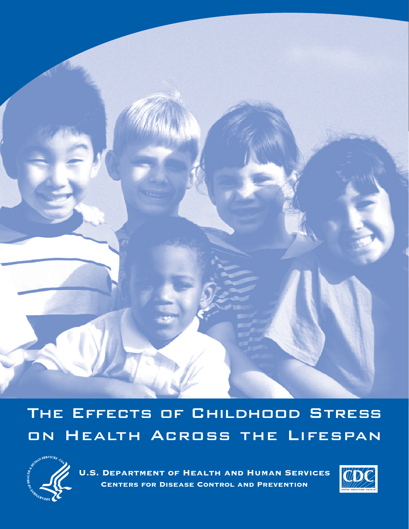

# The Effects of Childhood Stress on Health Across the Lifespan



U.S. Department of Health and Human Services Centers for Disease Control and Prevention

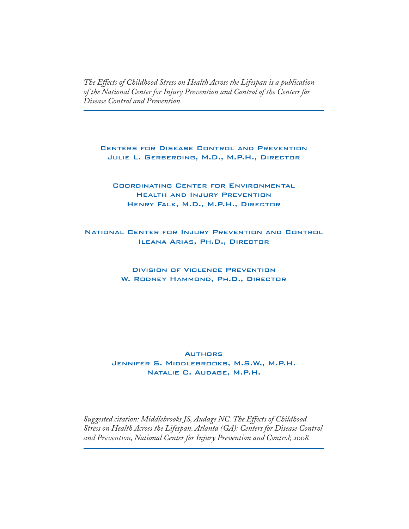*The Effects of Childhood Stress on Health Across the Lifespan is a publication of the National Center for Injury Prevention and Control of the Centers for Disease Control and Prevention.*

Centers for Disease Control and Prevention Julie L. Gerberding, M.D., M.P.H., Director

Coordinating Center for Environmental Health and Injury Prevention Henry Falk, M.D., M.P.H., Director

National Center for Injury Prevention and Control Ileana Arias, Ph.D., Director

> Division of Violence Prevention W. RODNEY HAMMOND, PH.D., DIRECTOR

### **AUTHORS** Jennifer S. Middlebrooks, M.S.W., M.P.H. Natalie C. Audage, M.P.H.

*Suggested citation: Middlebrooks JS, Audage NC. The Effects of Childhood Stress on Health Across the Lifespan. Atlanta (GA): Centers for Disease Control and Prevention, National Center for Injury Prevention and Control; 2008.*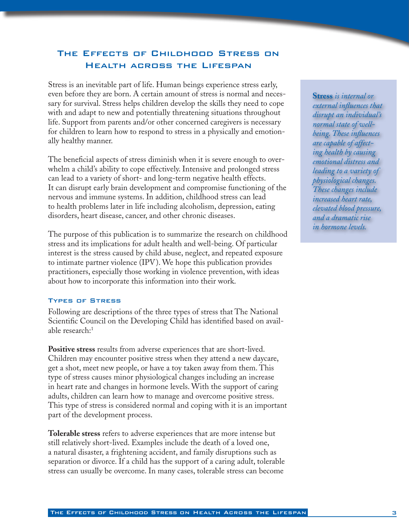### The Effects of Childhood Stress on Health across the Lifespan

Stress is an inevitable part of life. Human beings experience stress early, even before they are born. A certain amount of stress is normal and necessary for survival. Stress helps children develop the skills they need to cope with and adapt to new and potentially threatening situations throughout life. Support from parents and/or other concerned caregivers is necessary for children to learn how to respond to stress in a physically and emotionally healthy manner.

The beneficial aspects of stress diminish when it is severe enough to overwhelm a child's ability to cope effectively. Intensive and prolonged stress can lead to a variety of short- and long-term negative health effects. It can disrupt early brain development and compromise functioning of the nervous and immune systems. In addition, childhood stress can lead to health problems later in life including alcoholism, depression, eating disorders, heart disease, cancer, and other chronic diseases.

The purpose of this publication is to summarize the research on childhood stress and its implications for adult health and well-being. Of particular interest is the stress caused by child abuse, neglect, and repeated exposure to intimate partner violence (IPV). We hope this publication provides practitioners, especially those working in violence prevention, with ideas about how to incorporate this information into their work.

### Types of Stress

Following are descriptions of the three types of stress that The National Scientific Council on the Developing Child has identified based on available research:1

**Positive stress** results from adverse experiences that are short-lived. Children may encounter positive stress when they attend a new daycare, get a shot, meet new people, or have a toy taken away from them. This type of stress causes minor physiological changes including an increase in heart rate and changes in hormone levels. With the support of caring adults, children can learn how to manage and overcome positive stress. This type of stress is considered normal and coping with it is an important part of the development process.

**Tolerable stress** refers to adverse experiences that are more intense but still relatively short-lived. Examples include the death of a loved one, a natural disaster, a frightening accident, and family disruptions such as separation or divorce. If a child has the support of a caring adult, tolerable stress can usually be overcome. In many cases, tolerable stress can become

**Stress** *is internal or external influences that disrupt an individual's normal state of wellbeing. These influences are capable of affecting health by causing emotional distress and leading to a variety of physiological changes. These changes include increased heart rate, elevated blood pressure, and a dramatic rise in hormone levels.*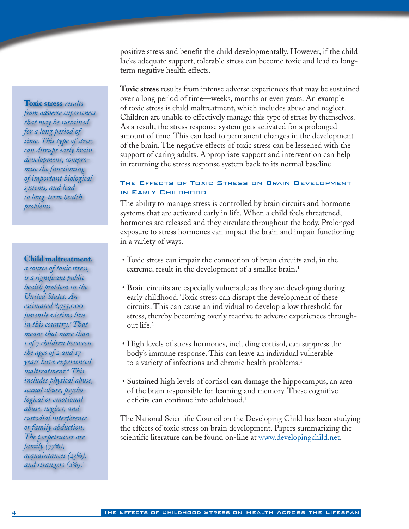positive stress and benefit the child developmentally. However, if the child lacks adequate support, tolerable stress can become toxic and lead to longterm negative health effects.

**Toxic stress** results from intense adverse experiences that may be sustained over a long period of time—weeks, months or even years. An example of toxic stress is child maltreatment, which includes abuse and neglect. Children are unable to effectively manage this type of stress by themselves. As a result, the stress response system gets activated for a prolonged amount of time. This can lead to permanent changes in the development of the brain. The negative effects of toxic stress can be lessened with the support of caring adults. Appropriate support and intervention can help in returning the stress response system back to its normal baseline.

### The Effects of Toxic Stress on Brain Development in Early Childhood

The ability to manage stress is controlled by brain circuits and hormone systems that are activated early in life. When a child feels threatened, hormones are released and they circulate throughout the body. Prolonged exposure to stress hormones can impact the brain and impair functioning in a variety of ways.

- Toxic stress can impair the connection of brain circuits and, in the extreme, result in the development of a smaller brain.<sup>1</sup>
- Brain circuits are especially vulnerable as they are developing during early childhood. Toxic stress can disrupt the development of these circuits. This can cause an individual to develop a low threshold for stress, thereby becoming overly reactive to adverse experiences throughout life.1
- High levels of stress hormones, including cortisol, can suppress the body's immune response. This can leave an individual vulnerable to a variety of infections and chronic health problems.<sup>1</sup>
- Sustained high levels of cortisol can damage the hippocampus, an area of the brain responsible for learning and memory. These cognitive deficits can continue into adulthood.<sup>1</sup>

The National Scientific Council on the Developing Child has been studying the effects of toxic stress on brain development. Papers summarizing the scientific literature can be found on-line at www.developingchild.net.

### **Toxic stress** *results*

*from adverse experiences that may be sustained for a long period of time. This type of stress can disrupt early brain development, compromise the functioning of important biological systems, and lead to long-term health problems.* 

### **Child maltreatment***,*

*a source of toxic stress, is a significant public health problem in the United States. An estimated 8,755,000 juvenile victims live in this country.2 That means that more than 1 of 7 children between the ages of 2 and 17 years have experienced maltreatment.2 This includes physical abuse, sexual abuse, psychological or emotional abuse, neglect, and custodial interference or family abduction. The perpetrators are family (77%), acquaintances (23%), and strangers (2%).2*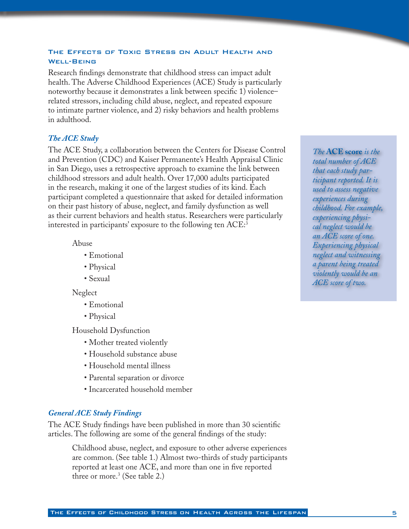### The Effects of Toxic Stress on Adult Health and Well-Being

Research findings demonstrate that childhood stress can impact adult health. The Adverse Childhood Experiences (ACE) Study is particularly noteworthy because it demonstrates a link between specific 1) violence– related stressors, including child abuse, neglect, and repeated exposure to intimate partner violence, and 2) risky behaviors and health problems in adulthood.

### *The ACE Study*

The ACE Study, a collaboration between the Centers for Disease Control and Prevention (CDC) and Kaiser Permanente's Health Appraisal Clinic in San Diego, uses a retrospective approach to examine the link between childhood stressors and adult health. Over 17,000 adults participated in the research, making it one of the largest studies of its kind. Each participant completed a questionnaire that asked for detailed information on their past history of abuse, neglect, and family dysfunction as well as their current behaviors and health status. Researchers were particularly interested in participants' exposure to the following ten ACE:3

### Abuse

- Emotional
- Physical
- Sexual

### Neglect

- Emotional
- Physical

Household Dysfunction

- Mother treated violently
- Household substance abuse
- Household mental illness
- Parental separation or divorce
- Incarcerated household member

### *General ACE Study Findings*

The ACE Study findings have been published in more than 30 scientific articles. The following are some of the general findings of the study:

> Childhood abuse, neglect, and exposure to other adverse experiences are common. (See table 1.) Almost two-thirds of study participants reported at least one ACE, and more than one in five reported three or more.3 (See table 2.)

*The* **ACE score** *is the total number of ACE that each study participant reported. It is used to assess negative experiences during childhood. For example, experiencing physical neglect would be an ACE score of one. Experiencing physical neglect and witnessing a parent being treated violently would be an ACE score of two.*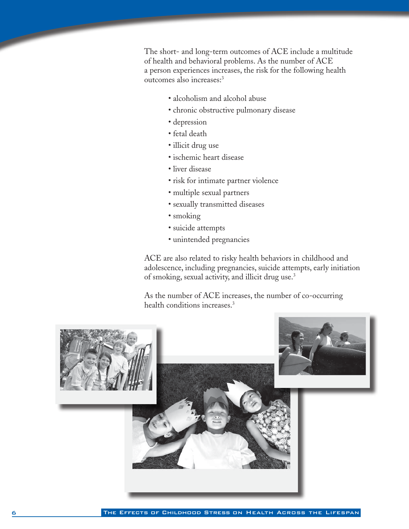The short- and long-term outcomes of ACE include a multitude of health and behavioral problems. As the number of ACE a person experiences increases, the risk for the following health outcomes also increases:<sup>3</sup>

- alcoholism and alcohol abuse
- · chronic obstructive pulmonary disease
- depression
- · fetal death
- illicit drug use
- · ischemic heart disease
- · liver disease
- · risk for intimate partner violence
- · multiple sexual partners
- · sexually transmitted diseases
- smoking
- · suicide attempts
- · unintended pregnancies

ACE are also related to risky health behaviors in childhood and adolescence, including pregnancies, suicide attempts, early initiation of smoking, sexual activity, and illicit drug use.<sup>3</sup>

As the number of ACE increases, the number of co-occurring health conditions increases.

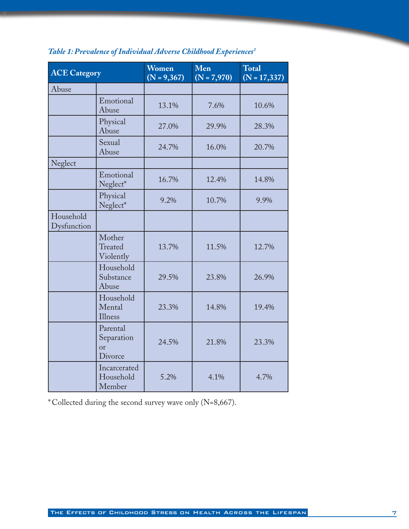| <b>ACE</b> Category      |                                                | Women<br>$(N = 9,367)$ | Men<br>$(N = 7,970)$ | <b>Total</b><br>$(N = 17, 337)$ |
|--------------------------|------------------------------------------------|------------------------|----------------------|---------------------------------|
| Abuse                    |                                                |                        |                      |                                 |
|                          | Emotional<br>Abuse                             | 13.1%                  | 7.6%                 | 10.6%                           |
|                          | Physical<br>Abuse                              | 27.0%                  | 29.9%                | 28.3%                           |
|                          | Sexual<br>Abuse                                | 24.7%                  | 16.0%                | 20.7%                           |
| Neglect                  |                                                |                        |                      |                                 |
|                          | Emotional<br>Neglect*                          | 16.7%                  | 12.4%                | 14.8%                           |
|                          | Physical<br>Neglect*                           | 9.2%                   | 10.7%                | 9.9%                            |
| Household<br>Dysfunction |                                                |                        |                      |                                 |
|                          | Mother<br>Treated<br>Violently                 | 13.7%                  | 11.5%                | 12.7%                           |
|                          | Household<br>Substance<br>Abuse                | 29.5%                  | 23.8%                | 26.9%                           |
|                          | Household<br>Mental<br><b>Illness</b>          | 23.3%                  | 14.8%                | 19.4%                           |
|                          | Parental<br>Separation<br><b>or</b><br>Divorce | 24.5%                  | 21.8%                | 23.3%                           |
|                          | Incarcerated<br>Household<br>Member            | 5.2%                   | 4.1%                 | 4.7%                            |

### *Table 1: Prevalence of Individual Adverse Childhood Experiences3*

\* Collected during the second survey wave only (N=8,667).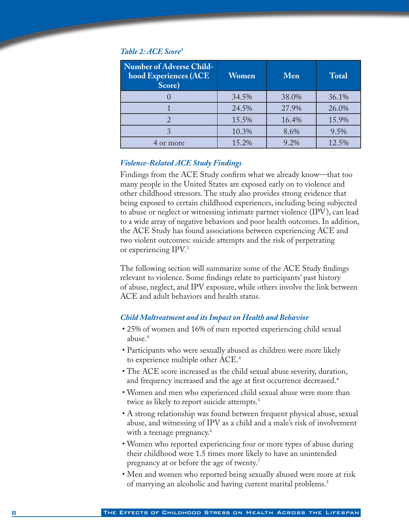### *Table 2: ACE Score3*

| <b>Number of Adverse Child-</b><br>hood Experiences (ACE<br>Score) | Women | Men   | <b>Total</b> |
|--------------------------------------------------------------------|-------|-------|--------------|
|                                                                    | 34.5% | 38.0% | 36.1%        |
|                                                                    | 24.5% | 27.9% | 26.0%        |
|                                                                    | 15.5% | 16.4% | 15.9%        |
|                                                                    | 10.3% | 8.6%  | 9.5%         |
| or more                                                            | 15.2% | 9.2%  | 12.5%        |

### *Violence-Related ACE Study Findings*

Findings from the ACE Study confirm what we already know—that too many people in the United States are exposed early on to violence and other childhood stressors. The study also provides strong evidence that being exposed to certain childhood experiences, including being subjected to abuse or neglect or witnessing intimate partner violence (IPV), can lead to a wide array of negative behaviors and poor health outcomes. In addition, the ACE Study has found associations between experiencing ACE and two violent outcomes: suicide attempts and the risk of perpetrating or experiencing IPV.3

The following section will summarize some of the ACE Study findings relevant to violence. Some findings relate to participants' past history of abuse, neglect, and IPV exposure, while others involve the link between ACE and adult behaviors and health status.

### *Child Maltreatment and its Impact on Health and Behavior*

- 25% of women and 16% of men reported experiencing child sexual abuse.4
- Participants who were sexually abused as children were more likely to experience multiple other ACE.4
- The ACE score increased as the child sexual abuse severity, duration, and frequency increased and the age at first occurrence decreased.<sup>4</sup>
- Women and men who experienced child sexual abuse were more than twice as likely to report suicide attempts.<sup>5</sup>
- A strong relationship was found between frequent physical abuse, sexual abuse, and witnessing of IPV as a child and a male's risk of involvement with a teenage pregnancy.<sup>6</sup>
- Women who reported experiencing four or more types of abuse during their childhood were 1.5 times more likely to have an unintended pregnancy at or before the age of twenty.7
- Men and women who reported being sexually abused were more at risk of marrying an alcoholic and having current marital problems.<sup>5</sup>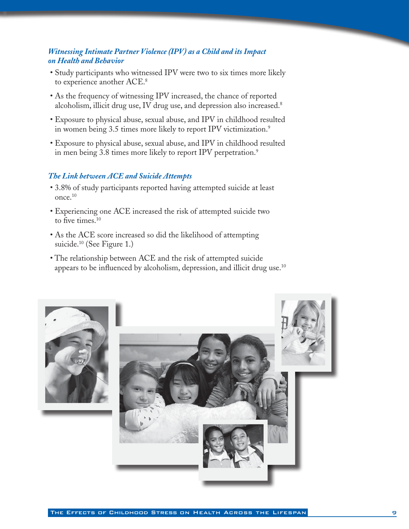### *Witnessing Intimate Partner Violence (IPV) as a Child and its Impact on Health and Behavior*

- Study participants who witnessed IPV were two to six times more likely to experience another ACE.<sup>8</sup>
- As the frequency of witnessing IPV increased, the chance of reported alcoholism, illicit drug use, IV drug use, and depression also increased.8
- Exposure to physical abuse, sexual abuse, and IPV in childhood resulted in women being 3.5 times more likely to report IPV victimization.<sup>9</sup>
- Exposure to physical abuse, sexual abuse, and IPV in childhood resulted in men being 3.8 times more likely to report IPV perpetration.<sup>9</sup>

### *The Link between ACE and Suicide Attempts*

- 3.8% of study participants reported having attempted suicide at least once.10
- Experiencing one ACE increased the risk of attempted suicide two to five times.<sup>10</sup>
- As the ACE score increased so did the likelihood of attempting suicide.<sup>10</sup> (See Figure 1.)
- The relationship between ACE and the risk of attempted suicide appears to be influenced by alcoholism, depression, and illicit drug use.<sup>10</sup>



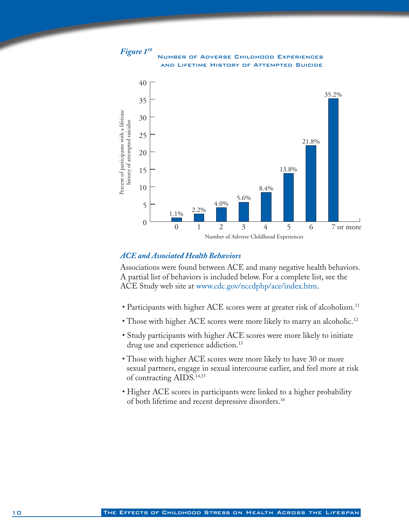

### *ACE and Associated Health Behaviors*

Associations were found between ACE and many negative health behaviors. A partial list of behaviors is included below. For a complete list, see the ACE Study web site at www.cdc.gov/nccdphp/ace/index.htm.

- Participants with higher ACE scores were at greater risk of alcoholism.<sup>11</sup>
- Those with higher ACE scores were more likely to marry an alcoholic.<sup>12</sup>
- Study participants with higher ACE scores were more likely to initiate drug use and experience addiction.<sup>13</sup>
- Those with higher ACE scores were more likely to have 30 or more sexual partners, engage in sexual intercourse earlier, and feel more at risk of contracting AIDS.14,15
- Higher ACE scores in participants were linked to a higher probability of both lifetime and recent depressive disorders.16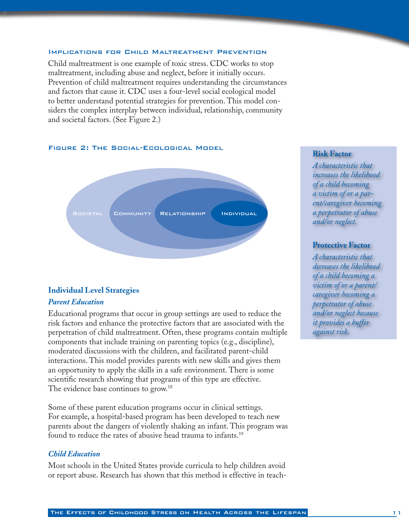#### Implications for Child Maltreatment Prevention

Child maltreatment is one example of toxic stress. CDC works to stop maltreatment, including abuse and neglect, before it initially occurs. Prevention of child maltreatment requires understanding the circumstances and factors that cause it. CDC uses a four-level social ecological model to better understand potential strategies for prevention. This model considers the complex interplay between individual, relationship, community and societal factors. (See Figure 2.)

#### Figure 2: The Social-Ecological Model



### **Individual Level Strategies**

### *Parent Education*

Educational programs that occur in group settings are used to reduce the risk factors and enhance the protective factors that are associated with the perpetration of child maltreatment. Often, these programs contain multiple components that include training on parenting topics (e.g., discipline), moderated discussions with the children, and facilitated parent-child interactions. This model provides parents with new skills and gives them an opportunity to apply the skills in a safe environment. There is some scientific research showing that programs of this type are effective. The evidence base continues to grow.<sup>18</sup>

Some of these parent education programs occur in clinical settings. For example, a hospital-based program has been developed to teach new parents about the dangers of violently shaking an infant. This program was found to reduce the rates of abusive head trauma to infants.19

### *Child Education*

Most schools in the United States provide curricula to help children avoid or report abuse. Research has shown that this method is effective in teach-

### **Risk Factor**

*A characteristic that increases the likelihood of a child becoming a victim of or a parent/caregiver becoming a perpetrator of abuse and/or neglect.*

### **Protective Factor**

*A characteristic that decreases the likelihood of a child becoming a victim of or a parent/ caregiver becoming a perpetrator of abuse and/or neglect because it provides a buffer against risk.*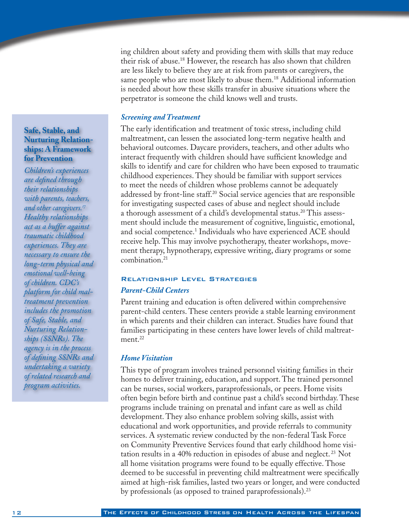ing children about safety and providing them with skills that may reduce their risk of abuse.18 However, the research has also shown that children are less likely to believe they are at risk from parents or caregivers, the same people who are most likely to abuse them.<sup>18</sup> Additional information is needed about how these skills transfer in abusive situations where the perpetrator is someone the child knows well and trusts.

### *Screening and Treatment*

The early identification and treatment of toxic stress, including child maltreatment, can lessen the associated long-term negative health and behavioral outcomes. Daycare providers, teachers, and other adults who interact frequently with children should have sufficient knowledge and skills to identify and care for children who have been exposed to traumatic childhood experiences. They should be familiar with support services to meet the needs of children whose problems cannot be adequately addressed by front-line staff.<sup>20</sup> Social service agencies that are responsible for investigating suspected cases of abuse and neglect should include a thorough assessment of a child's developmental status.<sup>20</sup> This assessment should include the measurement of cognitive, linguistic, emotional, and social competence.<sup>1</sup> Individuals who have experienced ACE should receive help. This may involve psychotherapy, theater workshops, movement therapy, hypnotherapy, expressive writing, diary programs or some combination.<sup>21</sup>

#### Relationship Level Strategies

### *Parent-Child Centers*

Parent training and education is often delivered within comprehensive parent-child centers. These centers provide a stable learning environment in which parents and their children can interact. Studies have found that families participating in these centers have lower levels of child maltreatment.<sup>22</sup>

### *Home Visitation*

This type of program involves trained personnel visiting families in their homes to deliver training, education, and support. The trained personnel can be nurses, social workers, paraprofessionals, or peers. Home visits often begin before birth and continue past a child's second birthday. These programs include training on prenatal and infant care as well as child development. They also enhance problem solving skills, assist with educational and work opportunities, and provide referrals to community services. A systematic review conducted by the non-federal Task Force on Community Preventive Services found that early childhood home visitation results in a 40% reduction in episodes of abuse and neglect.<sup>23</sup> Not all home visitation programs were found to be equally effective. Those deemed to be successful in preventing child maltreatment were specifically aimed at high-risk families, lasted two years or longer, and were conducted by professionals (as opposed to trained paraprofessionals).<sup>23</sup>

**Safe, Stable, and Nurturing Relationships: A Framework for Prevention**

*Children's experiences are defined through their relationships with parents, teachers, and other caregivers.17 Healthy relationships act as a buffer against traumatic childhood experiences. They are necessary to ensure the long-term physical and emotional well-being of children. CDC's platform for child maltreatment prevention includes the promotion of Safe, Stable, and Nurturing Relationships (SSNRs). The agency is in the process of defining SSNRs and undertaking a variety of related research and program activities.*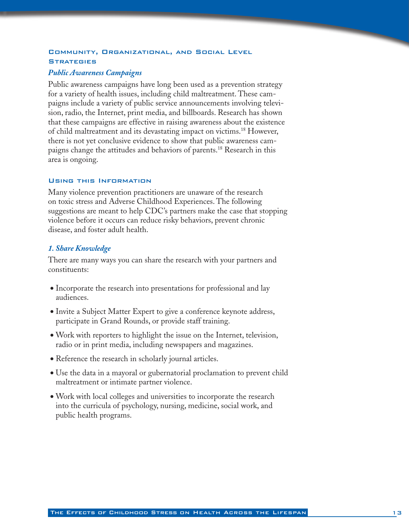### Community, Organizational, and Social Level **STRATEGIES**

### *Public Awareness Campaigns*

Public awareness campaigns have long been used as a prevention strategy for a variety of health issues, including child maltreatment. These campaigns include a variety of public service announcements involving television, radio, the Internet, print media, and billboards. Research has shown that these campaigns are effective in raising awareness about the existence of child maltreatment and its devastating impact on victims.18 However, there is not yet conclusive evidence to show that public awareness campaigns change the attitudes and behaviors of parents.18 Research in this area is ongoing.

### Using this Information

Many violence prevention practitioners are unaware of the research on toxic stress and Adverse Childhood Experiences. The following suggestions are meant to help CDC's partners make the case that stopping violence before it occurs can reduce risky behaviors, prevent chronic disease, and foster adult health.

### *1. Share Knowledge*

There are many ways you can share the research with your partners and constituents:

- Incorporate the research into presentations for professional and lay audiences.
- Invite a Subject Matter Expert to give a conference keynote address, participate in Grand Rounds, or provide staff training.
- Work with reporters to highlight the issue on the Internet, television, radio or in print media, including newspapers and magazines.
- Reference the research in scholarly journal articles.
- Use the data in a mayoral or gubernatorial proclamation to prevent child maltreatment or intimate partner violence.
- Work with local colleges and universities to incorporate the research into the curricula of psychology, nursing, medicine, social work, and public health programs.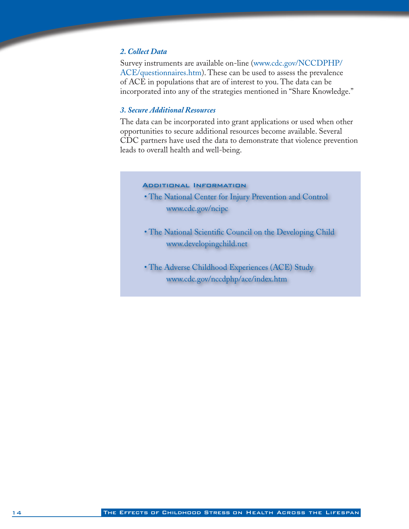### *2. Collect Data*

Survey instruments are available on-line (www.cdc.gov/NCCDPHP/ ACE/questionnaires.htm). These can be used to assess the prevalence of ACE in populations that are of interest to you. The data can be incorporated into any of the strategies mentioned in "Share Knowledge."

### *3. Secure Additional Resources*

The data can be incorporated into grant applications or used when other opportunities to secure additional resources become available. Several CDC partners have used the data to demonstrate that violence prevention leads to overall health and well-being.

### Additional Information

- The National Center for Injury Prevention and Control www.cdc.gov/ncipc
- The National Scientific Council on the Developing Child www.developingchild.net
- The Adverse Childhood Experiences (ACE) Study www.cdc.gov/nccdphp/ace/index.htm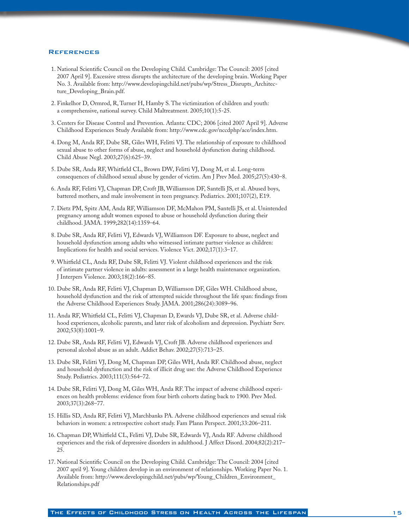#### **REFERENCES**

- 1. National Scientific Council on the Developing Child. Cambridge: The Council: 2005 [cited 2007 April 9]. Excessive stress disrupts the architecture of the developing brain. Working Paper No. 3. Available from: http://www.developingchild.net/pubs/wp/Stress\_Disrupts\_Architecture\_Developing\_Brain.pdf.
- 2. Finkelhor D, Ormrod, R, Turner H, Hamby S. The victimization of children and youth: a comprehensive, national survey. Child Maltreatment. 2005;10(1):5-25.
- 3. Centers for Disease Control and Prevention. Atlanta: CDC; 2006 [cited 2007 April 9]. Adverse Childhood Experiences Study Available from: http://www.cdc.gov/nccdphp/ace/index.htm.
- 4. Dong M, Anda RF, Dube SR, Giles WH, Felitti VJ. The relationship of exposure to childhood sexual abuse to other forms of abuse, neglect and household dysfunction during childhood. Child Abuse Negl. 2003;27(6):625–39.
- 5. Dube SR, Anda RF, Whitfield CL, Brown DW, Felitti VJ, Dong M, et al. Long-term consequences of childhood sexual abuse by gender of victim. Am J Prev Med. 2005;27(5):430–8.
- 6. Anda RF, Felitti VJ, Chapman DP, Croft JB, Williamson DF, Santelli JS, et al. Abused boys, battered mothers, and male involvement in teen pregnancy. Pediatrics. 2001;107(2), E19.
- 7. Dietz PM, Spitz AM, Anda RF, Williamson DF, McMahon PM, Santelli JS, et al. Unintended pregnancy among adult women exposed to abuse or household dysfunction during their childhood. JAMA. 1999;282(14):1359–64.
- 8. Dube SR, Anda RF, Felitti VJ, Edwards VJ, Williamson DF. Exposure to abuse, neglect and household dysfunction among adults who witnessed intimate partner violence as children: Implications for health and social services. Violence Vict. 2002;17(1):3–17.
- 9. Whitfield CL, Anda RF, Dube SR, Felitti VJ. Violent childhood experiences and the risk of intimate partner violence in adults: assessment in a large health maintenance organization. J Interpers Violence. 2003;18(2):166–85.
- 10. Dube SR, Anda RF, Felitti VJ, Chapman D, Williamson DF, Giles WH. Childhood abuse, household dysfunction and the risk of attempted suicide throughout the life span: findings from the Adverse Childhood Experiences Study. JAMA. 2001;286(24):3089–96.
- 11. Anda RF, Whitfield CL, Felitti VJ, Chapman D, Ewards VJ, Dube SR, et al. Adverse childhood experiences, alcoholic parents, and later risk of alcoholism and depression. Psychiatr Serv. 2002;53(8):1001–9.
- 12. Dube SR, Anda RF, Felitti VJ, Edwards VJ, Croft JB. Adverse childhood experiences and personal alcohol abuse as an adult. Addict Behav. 2002;27(5):713–25.
- 13. Dube SR, Felitti VJ, Dong M, Chapman DP, Giles WH, Anda RF. Childhood abuse, neglect and household dysfunction and the risk of illicit drug use: the Adverse Childhood Experience Study. Pediatrics. 2003;111(3):564–72.
- 14. Dube SR, Felitti VJ, Dong M, Giles WH, Anda RF. The impact of adverse childhood experiences on health problems: evidence from four birth cohorts dating back to 1900. Prev Med. 2003;37(3):268–77.
- 15. Hillis SD, Anda RF, Felitti VJ, Marchbanks PA. Adverse childhood experiences and sexual risk behaviors in women: a retrospective cohort study. Fam Plann Perspect. 2001;33:206–211.
- 16. Chapman DP, Whitfield CL, Felitti VJ, Dube SR, Edwards VJ, Anda RF. Adverse childhood experiences and the risk of depressive disorders in adulthood. J Affect Disord. 2004;82(2):217– 25.
- 17. National Scientific Council on the Developing Child. Cambridge: The Council: 2004 [cited 2007 april 9]. Young children develop in an environment of relationships. Working Paper No. 1. Available from: http://www.developingchild.net/pubs/wp/Young\_Children\_Environment\_ Relationships.pdf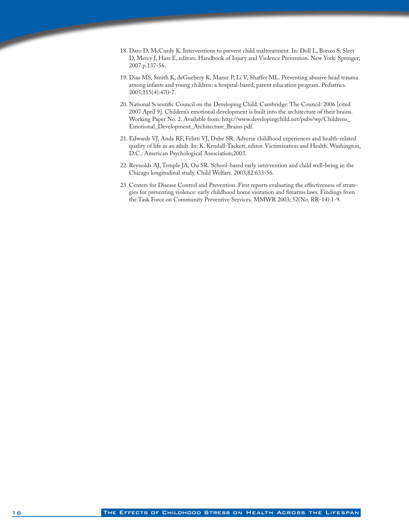- 18. Daro D, McCurdy K. Interventions to prevent child maltreatment. In: Doll L, Bonzo S, Sleet D, Mercy J, Hass E, editors. Handbook of Injury and Violence Prevention. New York: Springer; 2007.p.137-56.
- 19. Dias MS, Smith K, deGuehery K, Mazur P, Li V, Shaffer ML. Preventing abusive head trauma among infants and young children: a hospital-based, parent education program. Pediatrics. 2005;115(4):470-7.
- 20. National Scientific Council on the Developing Child. Cambridge: The Council: 2006 [cited 2007 April 9]. Children's emotional development is built into the architecture of their brains. Working Paper No. 2. Available from: http://www.developingchild.net/pubs/wp/Childrens\_ Emotional\_Development\_Architecture\_Brains.pdf.
- 21. Edwards VJ, Anda RF, Felitti VJ, Dube SR. Adverse childhood experiences and health-related quality of life as an adult. In: K. Kendall-Tackett, editor. Victimization and Health. Washington, D.C.: American Psychological Association;2003.
- 22. Reynolds AJ, Temple JA, Ou SR. School-based early intervention and child well-being in the Chicago longitudinal study. Child Welfare. 2003;82:633-56.
- 23. Centers for Disease Control and Prevention. First reports evaluating the effectiveness of strategies for preventing violence: early childhood home visitation and firearms laws. Findings from the Task Force on Community Preventive Services. MMWR 2003; 52(No. RR-14):1-9.